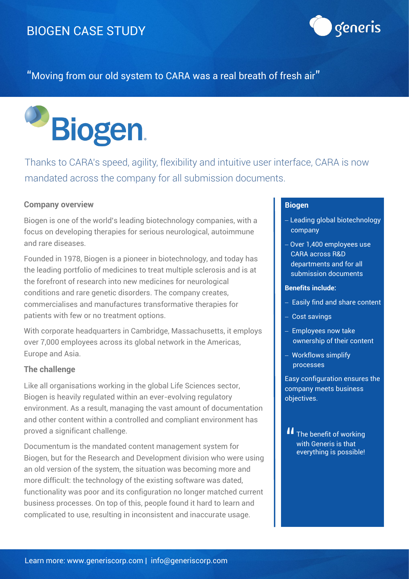

"Moving from our old system to CARA was a real breath of fresh air"



Thanks to CARA's speed, agility, flexibility and intuitive user interface, CARA is now mandated across the company for all submission documents.

### **Company overview**

Biogen is one of the world's leading biotechnology companies, with a focus on developing therapies for serious neurological, autoimmune and rare diseases.

Founded in 1978, Biogen is a pioneer in biotechnology, and today has the leading portfolio of medicines to treat multiple sclerosis and is at the forefront of research into new medicines for neurological conditions and rare genetic disorders. The company creates, commercialises and manufactures transformative therapies for patients with few or no treatment options.

With corporate headquarters in Cambridge, Massachusetts, it employs over 7,000 employees across its global network in the Americas, Europe and Asia.

### **The challenge**

Like all organisations working in the global Life Sciences sector, Biogen is heavily regulated within an ever-evolving regulatory environment. As a result, managing the vast amount of documentation and other content within a controlled and compliant environment has proved a significant challenge.

Documentum is the mandated content management system for Biogen, but for the Research and Development division who were using an old version of the system, the situation was becoming more and more difficult: the technology of the existing software was dated, functionality was poor and its configuration no longer matched current business processes. On top of this, people found it hard to learn and complicated to use, resulting in inconsistent and inaccurate usage.

### **Biogen**

- − Leading global biotechnology company
- − Over 1,400 employees use CARA across R&D departments and for all submission documents

#### **Benefits include:**

- − Easily find and share content
- − Cost savings
- − Employees now take ownership of their content
- − Workflows simplify processes

Easy configuration ensures the company meets business objectives.

II The benefit of working<br>with Generis is that with Generis is that everything is possible!